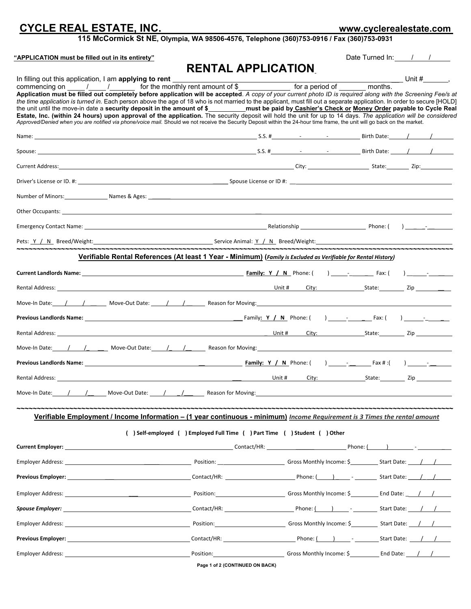# **CYCLE REAL ESTATE, INC. www.cyclerealestate.com**

**115 McCormick St NE, Olympia, WA 98506-4576, Telephone (360)753-0916 / Fax (360)753-0931**

| "APPLICATION must be filled out in its entirety"                                                                                                                                                                                     |                                                                              | Date Turned In: / / |  |
|--------------------------------------------------------------------------------------------------------------------------------------------------------------------------------------------------------------------------------------|------------------------------------------------------------------------------|---------------------|--|
|                                                                                                                                                                                                                                      | <b>RENTAL APPLICATION</b>                                                    |                     |  |
|                                                                                                                                                                                                                                      |                                                                              |                     |  |
| Application must be filled out completely before application will be accepted. A copy of your current photo ID is required along with the Screening Fee/s at                                                                         |                                                                              |                     |  |
| the time application is turned in. Each person above the age of 18 who is not married to the applicant, must fill out a separate application. In order to secure [HOLD]                                                              |                                                                              |                     |  |
| Approved/Denied when you are notified via phone/voice mail. Should we not receive the Security Deposit within the 24-hour time frame, the unit will go back on the market.                                                           |                                                                              |                     |  |
|                                                                                                                                                                                                                                      |                                                                              |                     |  |
|                                                                                                                                                                                                                                      |                                                                              |                     |  |
|                                                                                                                                                                                                                                      |                                                                              |                     |  |
|                                                                                                                                                                                                                                      |                                                                              |                     |  |
| Number of Minors: Names & Ages: Names & Ages: Number of Minors: Names & Ages: Names & Ages: Names & Ages: Names & Ages: Names & Ages: Names & Ages: Names & Ages: Names & Ages: Names & Ages: Names & Ages: Names & Ages: Name       |                                                                              |                     |  |
| Other Occupants: <u>example and the set of the set of the set of the set of the set of the set of the set of the set of the set of the set of the set of the set of the set of the set of the set of the set of the set of the s</u> |                                                                              |                     |  |
|                                                                                                                                                                                                                                      |                                                                              |                     |  |
| Pets: <u>Y / N</u> Breed/Weight: Service Animal: <u>Y / N</u> Breed/Weight: Service Animal: <u>Y / N</u> Breed/Weight:                                                                                                               |                                                                              |                     |  |
| Verifiable Rental References (At least 1 Year - Minimum) (Family is Excluded as Verifiable for Rental History)                                                                                                                       |                                                                              |                     |  |
|                                                                                                                                                                                                                                      |                                                                              |                     |  |
|                                                                                                                                                                                                                                      |                                                                              |                     |  |
| Move-In Date: 1 1 1 Move-Out Date: 1 1 2 Reason for Moving:                                                                                                                                                                          |                                                                              |                     |  |
|                                                                                                                                                                                                                                      |                                                                              |                     |  |
|                                                                                                                                                                                                                                      |                                                                              |                     |  |
| Move-In Date: 1 1 1 Move-Out Date: 1 1 2 Reason for Moving:                                                                                                                                                                          |                                                                              |                     |  |
|                                                                                                                                                                                                                                      |                                                                              |                     |  |
|                                                                                                                                                                                                                                      |                                                                              |                     |  |
| Move-In Date: 1 / 1 Move-Out Date: 1 / 1 Reason for Moving:                                                                                                                                                                          |                                                                              |                     |  |
| Verifiable Employment / Income Information - (1 year continuous - minimum) Income Requirement is 3 Times the rental amount                                                                                                           |                                                                              |                     |  |
|                                                                                                                                                                                                                                      | ( ) Self-employed ( ) Employed Full Time ( ) Part Time ( ) Student ( ) Other |                     |  |
|                                                                                                                                                                                                                                      |                                                                              |                     |  |
|                                                                                                                                                                                                                                      |                                                                              |                     |  |
|                                                                                                                                                                                                                                      |                                                                              |                     |  |
|                                                                                                                                                                                                                                      |                                                                              |                     |  |
|                                                                                                                                                                                                                                      |                                                                              |                     |  |
|                                                                                                                                                                                                                                      |                                                                              |                     |  |
|                                                                                                                                                                                                                                      |                                                                              |                     |  |
|                                                                                                                                                                                                                                      |                                                                              |                     |  |
|                                                                                                                                                                                                                                      |                                                                              |                     |  |

**Page 1 of 2 (CONTINUED ON BACK)**